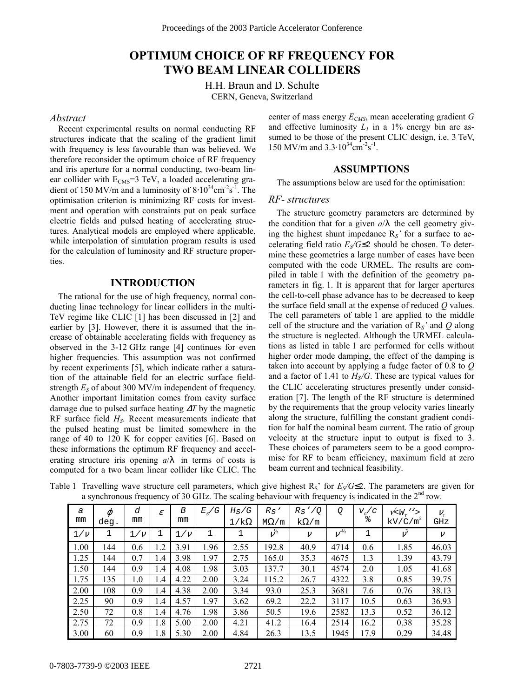# **OPTIMUM CHOICE OF RF FREQUENCY FOR TWO BEAM LINEAR COLLIDERS**

H.H. Braun and D. Schulte CERN, Geneva, Switzerland

#### *Abstract*

Recent experimental results on normal conducting RF structures indicate that the scaling of the gradient limit with frequency is less favourable than was believed. We therefore reconsider the optimum choice of RF frequency and iris aperture for a normal conducting, two-beam linear collider with  $E_{CMS} = 3$  TeV, a loaded accelerating gradient of 150 MV/m and a luminosity of  $8.10^{34}$ cm<sup>-2</sup>s<sup>-1</sup>. The optimisation criterion is minimizing RF costs for investment and operation with constraints put on peak surface electric fields and pulsed heating of accelerating structures. Analytical models are employed where applicable, while interpolation of simulation program results is used for the calculation of luminosity and RF structure properties.

### **INTRODUCTION**

The rational for the use of high frequency, normal conducting linac technology for linear colliders in the multi-TeV regime like CLIC [1] has been discussed in [2] and earlier by [3]. However, there it is assumed that the increase of obtainable accelerating fields with frequency as observed in the 3-12 GHz range [4] continues for even higher frequencies. This assumption was not confirmed by recent experiments [5], which indicate rather a saturation of the attainable field for an electric surface fieldstrength  $E<sub>S</sub>$  of about 300 MV/m independent of frequency. Another important limitation comes from cavity surface damage due to pulsed surface heating ∆*T* by the magnetic RF surface field *HS*. Recent measurements indicate that the pulsed heating must be limited somewhere in the range of 40 to 120 K for copper cavities [6]. Based on these informations the optimum RF frequency and accelerating structure iris opening  $a/\lambda$  in terms of costs is computed for a two beam linear collider like CLIC. The center of mass energy  $E_{CMS}$ , mean accelerating gradient *G* and effective luminosity  $L_1$  in a 1% energy bin are assumed to be those of the present CLIC design, i.e. 3 TeV, 150 MV/m and  $3.3 \cdot 10^{34}$  cm<sup>-2</sup>s<sup>-1</sup>.

# **ASSUMPTIONS**

The assumptions below are used for the optimisation:

### *RF- structures*

The structure geometry parameters are determined by the condition that for a given  $a/\lambda$  the cell geometry giving the highest shunt impedance R*S'* for a surface to accelerating field ratio  $E<sub>S</sub>/G \leq 2$  should be chosen. To determine these geometries a large number of cases have been computed with the code URMEL. The results are compiled in table 1 with the definition of the geometry parameters in fig. 1. It is apparent that for larger apertures the cell-to-cell phase advance has to be decreased to keep the surface field small at the expense of reduced *Q* values. The cell parameters of table 1 are applied to the middle cell of the structure and the variation of R*S'* and *Q* along the structure is neglected. Although the URMEL calculations as listed in table 1 are performed for cells without higher order mode damping, the effect of the damping is taken into account by applying a fudge factor of 0.8 to *Q* and a factor of 1.41 to *Hs/G*. These are typical values for the CLIC accelerating structures presently under consideration [7]. The length of the RF structure is determined by the requirements that the group velocity varies linearly along the structure, fulfilling the constant gradient condition for half the nominal beam current. The ratio of group velocity at the structure input to output is fixed to 3. These choices of parameters seem to be a good compromise for RF to beam efficiency, maximum field at zero beam current and technical feasibility.

| a<br>mm | $\varphi$<br>deg. | d<br>mm | $\mathcal E$ | B<br>mm | $E_{\rm s}/G$ | $H_S/G$<br>$1/k\Omega$ | Rs'<br>$M\Omega/m$  | Rs'/Q<br>$k\Omega/m$ | Q            | $V_{G}/C$<br>$\frac{1}{6}$ | $V < W_T$ ''><br>$kV/\dot{C}/m^2$ | $V_{\tau}$<br>GHz |
|---------|-------------------|---------|--------------|---------|---------------|------------------------|---------------------|----------------------|--------------|----------------------------|-----------------------------------|-------------------|
| $1/\nu$ | 1                 | $1/\nu$ | 1            | $1/\nu$ |               | 1                      | $\nu^{\frac{1}{2}}$ | $\mathcal V$         | $\nu^{-1/2}$ | 1                          |                                   | $\mathcal V$      |
| 1.00    | 144               | 0.6     | 1.2          | 3.91    | 1.96          | 2.55                   | 192.8               | 40.9                 | 4714         | 0.6                        | 1.85                              | 46.03             |
| 1.25    | 144               | 0.7     | 1.4          | 3.98    | 1.97          | 2.75                   | 165.0               | 35.3                 | 4675         | 1.3                        | 1.39                              | 43.79             |
| 1.50    | 144               | 0.9     | 1.4          | 4.08    | 1.98          | 3.03                   | 137.7               | 30.1                 | 4574         | 2.0                        | 1.05                              | 41.68             |
| 1.75    | 135               | 1.0     | 1.4          | 4.22    | 2.00          | 3.24                   | 115.2               | 26.7                 | 4322         | 3.8                        | 0.85                              | 39.75             |
| 2.00    | 108               | 0.9     | 1.4          | 4.38    | 2.00          | 3.34                   | 93.0                | 25.3                 | 3681         | 7.6                        | 0.76                              | 38.13             |
| 2.25    | 90                | 0.9     | 1.4          | 4.57    | 1.97          | 3.62                   | 69.2                | 22.2                 | 3117         | 10.5                       | 0.63                              | 36.93             |
| 2.50    | 72                | 0.8     | 1.4          | 4.76    | 1.98          | 3.86                   | 50.5                | 19.6                 | 2582         | 13.3                       | 0.52                              | 36.12             |
| 2.75    | 72                | 0.9     | 1.8          | 5.00    | 2.00          | 4.21                   | 41.2                | 16.4                 | 2514         | 16.2                       | 0.38                              | 35.28             |
| 3.00    | 60                | 0.9     | 1.8          | 5.30    | 2.00          | 4.84                   | 26.3                | 13.5                 | 1945         | 17.9                       | 0.29                              | 34.48             |

Table 1 Travelling wave structure cell parameters, which give highest  $R_S'$  for  $E_S/G \le 2$ . The parameters are given for a synchronous frequency of 30 GHz. The scaling behaviour with frequency is indicated in the  $2<sup>nd</sup>$  row.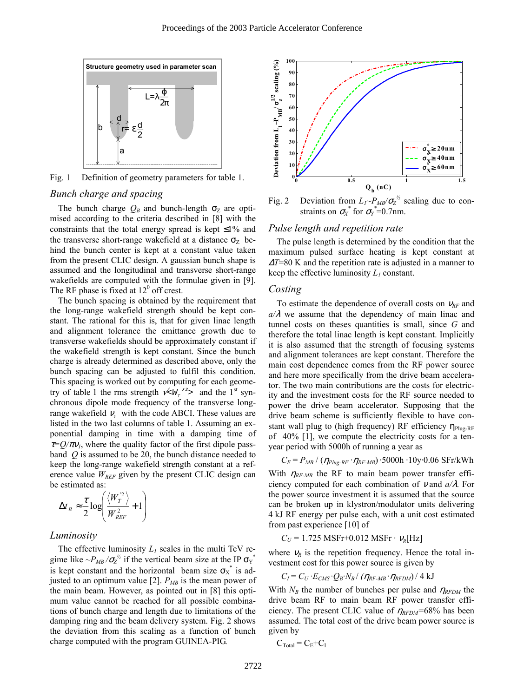

Fig. 1 Definition of geometry parameters for table 1.

# *Bunch charge and spacing*

The bunch charge  $Q_B$  and bunch-length  $\sigma_Z$  are optimised according to the criteria described in [8] with the constraints that the total energy spread is kept  $\leq 1\%$  and the transverse short-range wakefield at a distance  $\sigma_Z$  behind the bunch center is kept at a constant value taken from the present CLIC design. A gaussian bunch shape is assumed and the longitudinal and transverse short-range wakefields are computed with the formulae given in [9]. The RF phase is fixed at  $12^0$  off crest.

The bunch spacing is obtained by the requirement that the long-range wakefield strength should be kept constant. The rational for this is, that for given linac length and alignment tolerance the emittance growth due to transverse wakefields should be approximately constant if the wakefield strength is kept constant. Since the bunch charge is already determined as described above, only the bunch spacing can be adjusted to fulfil this condition. This spacing is worked out by computing for each geometry of table 1 the rms strength  $\sqrt{\langle W_{T}^2 \rangle^2}$  and the 1<sup>st</sup> synchronous dipole mode frequency of the transverse longrange wakefield  $v<sub>1</sub>$  with the code ABCI. These values are listed in the two last columns of table 1. Assuming an exponential damping in time with a damping time of  $\tau = Q/\pi v_l$ , where the quality factor of the first dipole passband *Q* is assumed to be 20, the bunch distance needed to keep the long-range wakefield strength constant at a reference value  $W_{REF}$  given by the present CLIC design can be estimated as:

$$
\Delta t_B \approx \frac{\tau}{2} \log \left( \frac{\langle W_T^2 \rangle}{W_{REF}^2} + 1 \right)
$$

#### *Luminosity*

The effective luminosity  $L_1$  scales in the multi TeV regime like  $\sim P_{MB}/\sigma_Z^{\frac{1}{2}}$  if the vertical beam size at the IP  $\sigma_Y^*$ is kept constant and the horizontal beam size  $\sigma_X^*$  is adjusted to an optimum value [2].  $P_{MB}$  is the mean power of the main beam. However, as pointed out in [8] this optimum value cannot be reached for all possible combinations of bunch charge and length due to limitations of the damping ring and the beam delivery system. Fig. 2 shows the deviation from this scaling as a function of bunch charge computed with the program GUINEA-PIG.



Fig. 2 Deviation from  $L_1 \sim P_{MB} / \sigma_Z^{\frac{1}{2}}$  scaling due to constraints on  $\sigma_X^*$  for  $\sigma_Y^* = 0.7$ nm.

## *Pulse length and repetition rate*

The pulse length is determined by the condition that the maximum pulsed surface heating is kept constant at <sup>∆</sup>*T*=80 K and the repetition rate is adjusted in a manner to keep the effective luminosity *L1* constant.

#### *Costing*

To estimate the dependence of overall costs on <sup>ν</sup>*RF* and  $a/\lambda$  we assume that the dependency of main linac and tunnel costs on theses quantities is small, since *G* and therefore the total linac length is kept constant. Implicitly it is also assumed that the strength of focusing systems and alignment tolerances are kept constant. Therefore the main cost dependence comes from the RF power source and here more specifically from the drive beam accelerator. The two main contributions are the costs for electricity and the investment costs for the RF source needed to power the drive beam accelerator. Supposing that the drive beam scheme is sufficiently flexible to have constant wall plug to (high frequency) RF efficiency  $\eta_{\text{Plue-RF}}$ of 40% [1], we compute the electricity costs for a tenyear period with 5000h of running a year as

 $C_E = P_{MB} / (\eta_{Plug-RF} \cdot \eta_{RF-MB}) \cdot 5000$ h ·10y·0.06 SFr/kWh

With  $\eta_{RF-MB}$  the RF to main beam power transfer efficiency computed for each combination of ν and *a/*λ. For the power source investment it is assumed that the source can be broken up in klystron/modulator units delivering 4 kJ RF energy per pulse each, with a unit cost estimated from past experience [10] of

$$
C_U = 1.725 \text{ MSFr} + 0.012 \text{ MSFr} \cdot \nu_R[\text{Hz}]
$$

where  $v_R$  is the repetition frequency. Hence the total investment cost for this power source is given by

$$
C_I = C_U \cdot E_{CMS} \cdot Q_B \cdot N_B / (\eta_{RF\text{-}MB} \cdot \eta_{RF\text{DM}}) / 4 \text{ kJ}
$$

With  $N_B$  the number of bunches per pulse and  $\eta_{RFDM}$  the drive beam RF to main beam RF power transfer efficiency. The present CLIC value of  $\eta_{\text{RFDM}}$ =68% has been assumed. The total cost of the drive beam power source is given by

$$
C_{\text{Total}} = C_{\text{E}} + C_{\text{I}}
$$